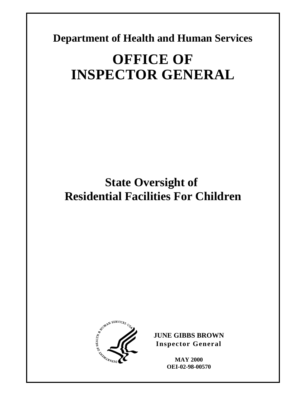**Department of Health and Human Services** 

# **OFFICE OF INSPECTOR GENERAL**

**State Oversight of Residential Facilities For Children** 



**JUNE GIBBS BROWN Inspector General** 

> **MAY 2000 OEI-02-98-00570**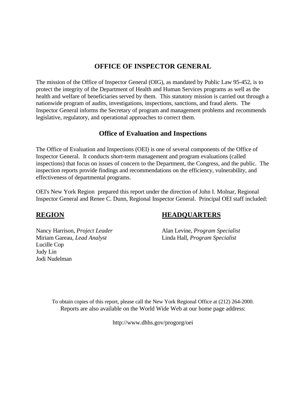#### **OFFICE OF INSPECTOR GENERAL**

The mission of the Office of Inspector General (OIG), as mandated by Public Law 95-452, is to protect the integrity of the Department of Health and Human Services programs as well as the health and welfare of beneficiaries served by them. This statutory mission is carried out through a nationwide program of audits, investigations, inspections, sanctions, and fraud alerts. The Inspector General informs the Secretary of program and management problems and recommends legislative, regulatory, and operational approaches to correct them.

#### **Office of Evaluation and Inspections**

The Office of Evaluation and Inspections (OEI) is one of several components of the Office of Inspector General. It conducts short-term management and program evaluations (called inspections) that focus on issues of concern to the Department, the Congress, and the public. The inspection reports provide findings and recommendations on the efficiency, vulnerability, and effectiveness of departmental programs.

OEI's New York Region prepared this report under the direction of John I. Molnar, Regional Inspector General and Renee C. Dunn, Regional Inspector General. Principal OEI staff included:

Miriam Gareau, *Lead Analyst* Linda Hall, *Program Specialist* Lucille Cop Judy Lin Jodi Nudelman

### **REGION HEADQUARTERS**

Nancy Harrison, *Project Leader* Alan Levine, *Program Specialist*

To obtain copies of this report, please call the New York Regional Office at (212) 264-2000. Reports are also available on the World Wide Web at our home page address:

http://www.dhhs.gov/progorg/oei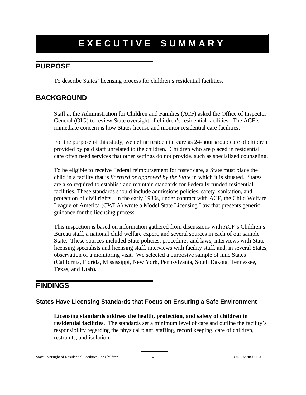### **EXECUTIVE SUMMARY**

### **PURPOSE**

To describe States' licensing process for children's residential facilities**.** 

#### **BACKGROUND**

Staff at the Administration for Children and Families (ACF) asked the Office of Inspector General (OIG) to review State oversight of children's residential facilities. The ACF's immediate concern is how States license and monitor residential care facilities.

For the purpose of this study, we define residential care as 24-hour group care of children provided by paid staff unrelated to the children. Children who are placed in residential care often need services that other settings do not provide, such as specialized counseling.

To be eligible to receive Federal reimbursement for foster care, a State must place the child in a facility that is *licensed or approved by the State* in which it is situated. States are also required to establish and maintain standards for Federally funded residential facilities. These standards should include admissions policies, safety, sanitation, and protection of civil rights. In the early 1980s, under contract with ACF, the Child Welfare League of America (CWLA) wrote a Model State Licensing Law that presents generic guidance for the licensing process.

This inspection is based on information gathered from discussions with ACF's Children's Bureau staff, a national child welfare expert, and several sources in each of our sample State. These sources included State policies, procedures and laws, interviews with State licensing specialists and licensing staff, interviews with facility staff, and, in several States, observation of a monitoring visit. We selected a purposive sample of nine States (California, Florida, Mississippi, New York, Pennsylvania, South Dakota, Tennessee, Texas, and Utah).

#### **FINDINGS**

#### **States Have Licensing Standards that Focus on Ensuring a Safe Environment**

**Licensing standards address the health, protection, and safety of children in residential facilities.** The standards set a minimum level of care and outline the facility's responsibility regarding the physical plant, staffing, record keeping, care of children, restraints, and isolation.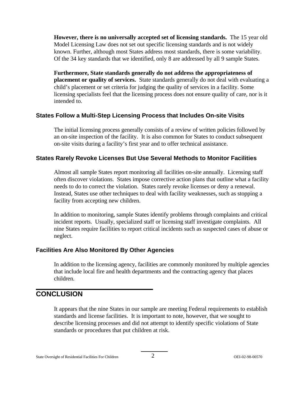**However, there is no universally accepted set of licensing standards.** The 15 year old Model Licensing Law does not set out specific licensing standards and is not widely known. Further, although most States address most standards, there is some variability. Of the 34 key standards that we identified, only 8 are addressed by all 9 sample States.

**Furthermore, State standards generally do not address the appropriateness of placement or quality of services.** State standards generally do not deal with evaluating a child's placement or set criteria for judging the quality of services in a facility. Some licensing specialists feel that the licensing process does not ensure quality of care, nor is it intended to.

#### **States Follow a Multi-Step Licensing Process that Includes On-site Visits**

The initial licensing process generally consists of a review of written policies followed by an on-site inspection of the facility. It is also common for States to conduct subsequent on-site visits during a facility's first year and to offer technical assistance.

#### **States Rarely Revoke Licenses But Use Several Methods to Monitor Facilities**

Almost all sample States report monitoring all facilities on-site annually. Licensing staff often discover violations. States impose corrective action plans that outline what a facility needs to do to correct the violation. States rarely revoke licenses or deny a renewal. Instead, States use other techniques to deal with facility weaknesses, such as stopping a facility from accepting new children.

In addition to monitoring, sample States identify problems through complaints and critical incident reports. Usually, specialized staff or licensing staff investigate complaints. All nine States require facilities to report critical incidents such as suspected cases of abuse or neglect.

#### **Facilities Are Also Monitored By Other Agencies**

In addition to the licensing agency, facilities are commonly monitored by multiple agencies that include local fire and health departments and the contracting agency that places children.

#### **CONCLUSION**

It appears that the nine States in our sample are meeting Federal requirements to establish standards and license facilities. It is important to note, however, that we sought to describe licensing processes and did not attempt to identify specific violations of State standards or procedures that put children at risk.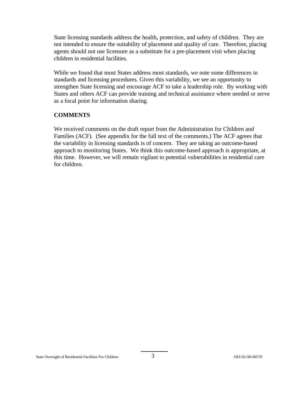State licensing standards address the health, protection, and safety of children. They are not intended to ensure the suitability of placement and quality of care. Therefore, placing agents should not use licensure as a substitute for a pre-placement visit when placing children in residential facilities.

While we found that most States address most standards, we note some differences in standards and licensing procedures. Given this variability, we see an opportunity to strengthen State licensing and encourage ACF to take a leadership role. By working with States and others ACF can provide training and technical assistance where needed or serve as a focal point for information sharing.

#### **COMMENTS**

We received comments on the draft report from the Administration for Children and Families (ACF). (See appendix for the full text of the comments.) The ACF agrees that the variability in licensing standards is of concern. They are taking an outcome-based approach to monitoring States. We think this outcome-based approach is appropriate, at this time. However, we will remain vigilant to potential vulnerabilities in residential care for children.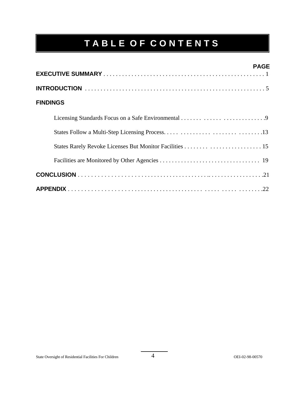# **TABLE OF CONTENTS**

|                 | <b>PAGE</b> |
|-----------------|-------------|
|                 |             |
|                 |             |
| <b>FINDINGS</b> |             |
|                 |             |
|                 |             |
|                 |             |
|                 |             |
|                 |             |
|                 |             |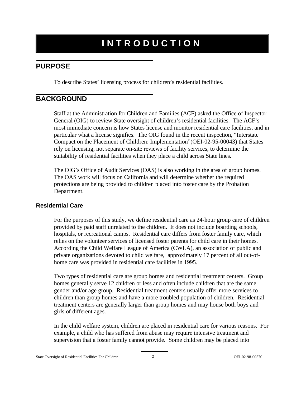### **INTRODUCTION**

### **PURPOSE**

To describe States' licensing process for children's residential facilities.

### **BACKGROUND**

Staff at the Administration for Children and Families (ACF) asked the Office of Inspector General (OIG) to review State oversight of children's residential facilities. The ACF's most immediate concern is how States license and monitor residential care facilities, and in particular what a license signifies. The OIG found in the recent inspection, "Interstate Compact on the Placement of Children: Implementation"(OEI-02-95-00043) that States rely on licensing, not separate on-site reviews of facility services, to determine the suitability of residential facilities when they place a child across State lines.

The OIG's Office of Audit Services (OAS) is also working in the area of group homes. The OAS work will focus on California and will determine whether the required protections are being provided to children placed into foster care by the Probation Department.

#### **Residential Care**

For the purposes of this study, we define residential care as 24-hour group care of children provided by paid staff unrelated to the children. It does not include boarding schools, hospitals, or recreational camps. Residential care differs from foster family care, which relies on the volunteer services of licensed foster parents for child care in their homes. According the Child Welfare League of America (CWLA), an association of public and private organizations devoted to child welfare, approximately 17 percent of all out-ofhome care was provided in residential care facilities in 1995.

Two types of residential care are group homes and residential treatment centers. Group homes generally serve 12 children or less and often include children that are the same gender and/or age group. Residential treatment centers usually offer more services to children than group homes and have a more troubled population of children. Residential treatment centers are generally larger than group homes and may house both boys and girls of different ages.

In the child welfare system, children are placed in residential care for various reasons. For example, a child who has suffered from abuse may require intensive treatment and supervision that a foster family cannot provide. Some children may be placed into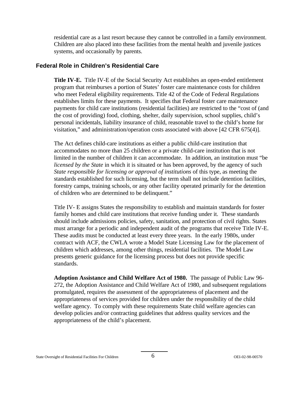residential care as a last resort because they cannot be controlled in a family environment. Children are also placed into these facilities from the mental health and juvenile justices systems, and occasionally by parents.

#### **Federal Role in Children's Residential Care**

**Title IV-E.** Title IV-E of the Social Security Act establishes an open-ended entitlement program that reimburses a portion of States' foster care maintenance costs for children who meet Federal eligibility requirements. Title 42 of the Code of Federal Regulations establishes limits for these payments. It specifies that Federal foster care maintenance payments for child care institutions (residential facilities) are restricted to the "cost of (and the cost of providing) food, clothing, shelter, daily supervision, school supplies, child's personal incidentals, liability insurance of child, reasonable travel to the child's home for visitation," and administration/operation costs associated with above [42 CFR 675(4)].

The Act defines child-care institutions as either a public child-care institution that accommodates no more than 25 children or a private child-care institution that is not limited in the number of children it can accommodate. In addition, an institution must "be *licensed by the State* in which it is situated or has been approved, by the agency of such *State responsible for licensing or approval of institutions* of this type, as meeting the standards established for such licensing, but the term shall not include detention facilities, forestry camps, training schools, or any other facility operated primarily for the detention of children who are determined to be delinquent."

Title IV- E assigns States the responsibility to establish and maintain standards for foster family homes and child care institutions that receive funding under it. These standards should include admissions policies, safety, sanitation, and protection of civil rights. States must arrange for a periodic and independent audit of the programs that receive Title IV-E. These audits must be conducted at least every three years. In the early 1980s, under contract with ACF, the CWLA wrote a Model State Licensing Law for the placement of children which addresses, among other things, residential facilities. The Model Law presents generic guidance for the licensing process but does not provide specific standards.

**Adoption Assistance and Child Welfare Act of 1980.** The passage of Public Law 96- 272, the Adoption Assistance and Child Welfare Act of 1980, and subsequent regulations promulgated, requires the assessment of the appropriateness of placement and the appropriateness of services provided for children under the responsibility of the child welfare agency. To comply with these requirements State child welfare agencies can develop policies and/or contracting guidelines that address quality services and the appropriateness of the child's placement.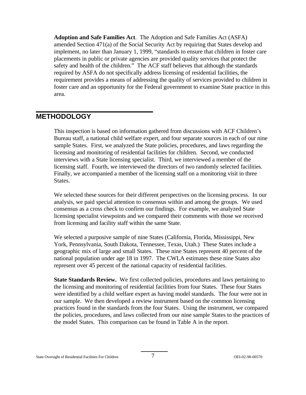**Adoption and Safe Families Act**. The Adoption and Safe Families Act (ASFA) amended Section 471(a) of the Social Security Act by requiring that States develop and implement, no later than January 1, 1999, "standards to ensure that children in foster care placements in public or private agencies are provided quality services that protect the safety and health of the children." The ACF staff believes that although the standards required by ASFA do not specifically address licensing of residential facilities, the requirement provides a means of addressing the quality of services provided to children in foster care and an opportunity for the Federal government to examine State practice in this area.

#### **METHODOLOGY**

This inspection is based on information gathered from discussions with ACF Children's Bureau staff, a national child welfare expert, and four separate sources in each of our nine sample States. First, we analyzed the State policies, procedures, and laws regarding the licensing and monitoring of residential facilities for children. Second, we conducted interviews with a State licensing specialist. Third, we interviewed a member of the licensing staff. Fourth, we interviewed the directors of two randomly selected facilities. Finally, we accompanied a member of the licensing staff on a monitoring visit in three States.

We selected these sources for their different perspectives on the licensing process. In our analysis, we paid special attention to consensus within and among the groups. We used consensus as a cross check to confirm our findings. For example, we analyzed State licensing specialist viewpoints and we compared their comments with those we received from licensing and facility staff within the same State.

We selected a purposive sample of nine States (California, Florida, Mississippi, New York, Pennsylvania, South Dakota, Tennessee, Texas, Utah.) These States include a geographic mix of large and small States. These nine States represent 40 percent of the national population under age 18 in 1997. The CWLA estimates these nine States also represent over 45 percent of the national capacity of residential facilities.

**State Standards Review.** We first collected policies, procedures and laws pertaining to the licensing and monitoring of residential facilities from four States. These four States were identified by a child welfare expert as having model standards. The four were not in our sample. We then developed a review instrument based on the common licensing practices found in the standards from the four States. Using the instrument, we compared the policies, procedures, and laws collected from our nine sample States to the practices of the model States. This comparison can be found in Table A in the report.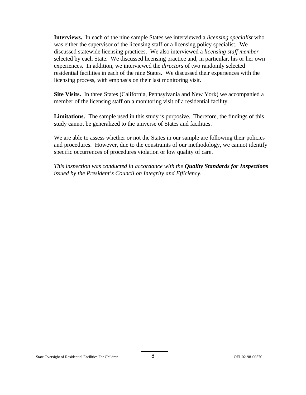**Interviews.** In each of the nine sample States we interviewed a *licensing specialist* who was either the supervisor of the licensing staff or a licensing policy specialist. We discussed statewide licensing practices. We also interviewed a *licensing staff member*  selected by each State. We discussed licensing practice and, in particular, his or her own experiences. In addition, we interviewed the *directors* of two randomly selected residential facilities in each of the nine States. We discussed their experiences with the licensing process, with emphasis on their last monitoring visit.

**Site Visits.** In three States (California, Pennsylvania and New York) we accompanied a member of the licensing staff on a monitoring visit of a residential facility.

**Limitations**. The sample used in this study is purposive. Therefore, the findings of this study cannot be generalized to the universe of States and facilities.

We are able to assess whether or not the States in our sample are following their policies and procedures. However, due to the constraints of our methodology, we cannot identify specific occurrences of procedures violation or low quality of care.

*This inspection was conducted in accordance with the Quality Standards for Inspections issued by the President's Council on Integrity and Efficiency*.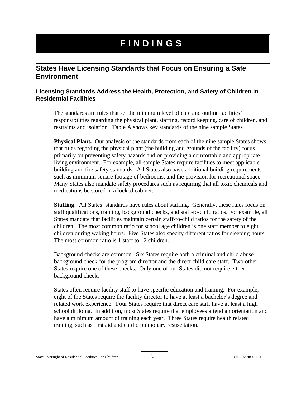## **FINDINGS**

#### **States Have Licensing Standards that Focus on Ensuring a Safe Environment**

#### **Licensing Standards Address the Health, Protection, and Safety of Children in Residential Facilities**

The standards are rules that set the minimum level of care and outline facilities' responsibilities regarding the physical plant, staffing, record keeping, care of children, and restraints and isolation. Table A shows key standards of the nine sample States.

**Physical Plant.** Our analysis of the standards from each of the nine sample States shows that rules regarding the physical plant (the building and grounds of the facility) focus primarily on preventing safety hazards and on providing a comfortable and appropriate living environment. For example, all sample States require facilities to meet applicable building and fire safety standards. All States also have additional building requirements such as minimum square footage of bedrooms, and the provision for recreational space. Many States also mandate safety procedures such as requiring that all toxic chemicals and medications be stored in a locked cabinet.

**Staffing.** All States' standards have rules about staffing. Generally, these rules focus on staff qualifications, training, background checks, and staff-to-child ratios. For example, all States mandate that facilities maintain certain staff-to-child ratios for the safety of the children. The most common ratio for school age children is one staff member to eight children during waking hours. Five States also specify different ratios for sleeping hours. The most common ratio is 1 staff to 12 children.

Background checks are common. Six States require both a criminal and child abuse background check for the program director and the direct child care staff. Two other States require one of these checks. Only one of our States did not require either background check.

States often require facility staff to have specific education and training. For example, eight of the States require the facility director to have at least a bachelor's degree and related work experience. Four States require that direct care staff have at least a high school diploma. In addition, most States require that employees attend an orientation and have a minimum amount of training each year. Three States require health related training, such as first aid and cardio pulmonary resuscitation.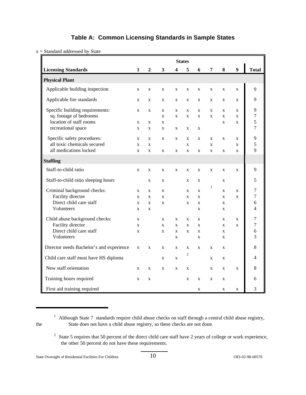#### **Table A: Common Licensing Standards in Sample States**

x = Standard addressed by State

|                                          |              |              |                         |              | <b>States</b>  |              |              |              |                  |                |
|------------------------------------------|--------------|--------------|-------------------------|--------------|----------------|--------------|--------------|--------------|------------------|----------------|
| <b>Licensing Standards</b>               | 1            | $\mathbf{2}$ | $\overline{\mathbf{3}}$ | 4            | 5              | 6            | 7            | 8            | $\boldsymbol{9}$ | <b>Total</b>   |
| <b>Physical Plant</b>                    |              |              |                         |              |                |              |              |              |                  |                |
| Applicable building inspection           | $\mathbf{x}$ | X            | X                       | $\mathbf{x}$ | $\mathbf{x}$   | $\mathbf{x}$ | $\mathbf{x}$ | X            | $\mathbf X$      | 9              |
| Applicable fire standards                | X            | X            | X                       | X            | X              | X            | X            | X            | $\mathbf{x}$     | 9              |
| Specific building requirements:          | X            | $\mathbf X$  | X                       | $\mathbf{x}$ | X              | X            | X            | X            | X                | 9              |
| sq. footage of bedrooms                  |              |              | $\mathbf{x}$            | $\mathbf{x}$ | $\mathbf{X}$   | $\mathbf{x}$ | $\mathbf{x}$ | $\mathbf{X}$ | $\mathbf{x}$     | $\overline{7}$ |
| location of staff rooms                  | $\mathbf{x}$ | $\mathbf{x}$ | $\mathbf{x}$            |              |                |              |              | $\mathbf{x}$ | $\mathbf{x}$     | 5              |
| recreational space                       | $\mathbf X$  | $\mathbf X$  | X                       | $\mathbf X$  | X              | X            |              |              |                  | 7              |
| Specific safety procedures:              | X            | X            | X                       | $\mathbf X$  | X              | X            | X            | X            | X                | 9              |
| all toxic chemicals secured              | X            | $\mathbf X$  |                         |              | X              |              | X            |              | X                | 5              |
| all medications locked                   | $\mathbf X$  | $\mathbf X$  | X                       | X            | $\mathbf X$    | X            | $\mathbf{X}$ | $\mathbf X$  | $\mathbf X$      | 9              |
| <b>Staffing</b>                          |              |              |                         |              |                |              |              |              |                  |                |
| Staff-to-child ratio                     | X            | X            | $\mathbf{x}$            | $\mathbf x$  | X              | $\mathbf{x}$ | X            | X            | $\mathbf{x}$     | 9              |
| Staff-to-child ratio sleeping hours      |              | X            | X                       |              | X              | X            |              | X            |                  | 5              |
| Criminal background checks:              | X            | X            | X                       |              | X              | X            | $\mathbf{1}$ | X            | X                | $\tau$         |
| Facility director                        | $\mathbf X$  | X            | X                       |              | X              | X            |              | X            | X                | $\overline{7}$ |
| Direct child care staff                  | X            | $\mathbf X$  | X                       |              | X              | X            |              | X            |                  | 6              |
| Volunteers                               | X            | X            |                         |              |                | X            |              | X            |                  | $\overline{4}$ |
| Child abuse background checks:           | $\mathbf{x}$ |              | X                       | $\mathbf{x}$ | $\mathbf{x}$   | X            |              | X            | X                | $\overline{7}$ |
| Facility director                        | $\mathbf X$  |              | $\mathbf{x}$            | $\mathbf X$  | X              | X            |              | $\mathbf{X}$ | $\mathbf{x}$     | $\overline{7}$ |
| Direct child care staff                  | $\mathbf{x}$ |              | $\mathbf{x}$            | $\mathbf x$  | $\mathbf{x}$   | $\mathbf{x}$ |              | $\mathbf{x}$ |                  | 6              |
| Volunteers                               |              |              |                         | X            |                | X            |              | X            |                  | $\overline{3}$ |
| Director needs Bachelor's and experience | X            | $\mathbf X$  | X                       | X            | X              | X            | X            | X            |                  | 8              |
| Child care staff must have HS diploma    |              |              | X                       | $\mathbf X$  | $\overline{c}$ |              | X            | X            |                  | 4              |
| New staff orientation                    | X            | X            | X                       | X            | X              |              | X            | X            | X                | 8              |
| Training hours required                  | X            | $\mathbf X$  |                         |              | X              | X            | X            | $\mathbf X$  |                  | 6              |
| First aid training required              |              |              |                         |              |                | X            |              | X            | $\mathbf X$      | 3              |

<sup>&</sup>lt;sup>1</sup> Although State 7 standards require child abuse checks on staff through a central child abuse registry, the State does not have a child abuse registry, so these checks are not done.

<sup>&</sup>lt;sup>2</sup> State 5 requires that 50 percent of the direct child care staff have 2 years of college or work experience, the other 50 percent do not have these requirements.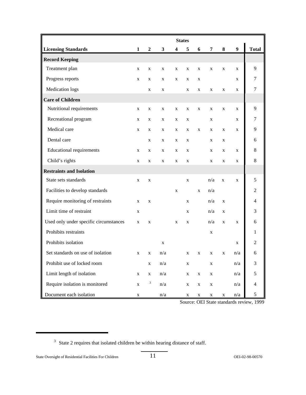|                                        |              |                  |                         |             | <b>States</b> |             |                |              |                  |                |
|----------------------------------------|--------------|------------------|-------------------------|-------------|---------------|-------------|----------------|--------------|------------------|----------------|
| <b>Licensing Standards</b>             | $\mathbf{1}$ | $\boldsymbol{2}$ | $\mathbf{3}$            | 4           | 5             | 6           | $\overline{7}$ | 8            | $\boldsymbol{9}$ | <b>Total</b>   |
| <b>Record Keeping</b>                  |              |                  |                         |             |               |             |                |              |                  |                |
| Treatment plan                         | X            | X                | X                       | X           | X             | X           | X              | X            | $\mathbf{X}$     | 9              |
| Progress reports                       | X            | X                | X                       | X           | X             | X           |                |              | X                | $\tau$         |
| Medication logs                        |              | $\mathbf X$      | X                       |             | X             | X           | X              | X            | X                | 7              |
| <b>Care of Children</b>                |              |                  |                         |             |               |             |                |              |                  |                |
| Nutritional requirements               | X            | X                | X                       | X           | X             | $\mathbf X$ | X              | X            | $\mathbf{X}$     | 9              |
| Recreational program                   | X            | X                | X                       | X           | $\mathbf X$   |             | X              |              | X                | 7              |
| Medical care                           | X            | X                | X                       | X           | X             | $\mathbf X$ | X              | X            | X                | 9              |
| Dental care                            |              | X                | X                       | X           | X             |             | X              | X            |                  | 6              |
| <b>Educational requirements</b>        | X            | X                | X                       | X           | X             |             | X              | X            | $\mathbf{X}$     | 8              |
| Child's rights                         | X            | X                | X                       | X           | X             |             | X              | X            | X                | 8              |
| <b>Restraints and Isolation</b>        |              |                  |                         |             |               |             |                |              |                  |                |
| State sets standards                   | X            | $\mathbf X$      |                         |             | X             |             | n/a            | $\mathbf{X}$ | $\mathbf{X}$     | 5              |
| Facilities to develop standards        |              |                  |                         | $\mathbf X$ |               | $\mathbf X$ | n/a            |              |                  | $\overline{2}$ |
| Require monitoring of restraints       | $\mathbf X$  | $\mathbf X$      |                         |             | $\mathbf X$   |             | n/a            | $\mathbf X$  |                  | $\overline{4}$ |
| Limit time of restraint                | X            |                  |                         |             | X             |             | n/a            | X            |                  | 3              |
| Used only under specific circumstances | X            | X                |                         | X           | X             |             | n/a            | X            | X                | 6              |
| Prohibits restraints                   |              |                  |                         |             |               |             | X              |              |                  | 1              |
| Prohibits isolation                    |              |                  | X                       |             |               |             |                |              | X                | $\overline{2}$ |
| Set standards on use of isolation      | X            | $\mathbf X$      | n/a                     |             | X             | X           | X              | X            | n/a              | 6              |
| Prohibit use of locked room            |              | $\mathbf X$      | $\mathrm{n}/\mathrm{a}$ |             | $\mathbf X$   |             | X              |              | n/a              | $\mathfrak{Z}$ |
| Limit length of isolation              | $\mathbf X$  | $\mathbf X$      | n/a                     |             | $\mathbf X$   | $\mathbf X$ | X              |              | n/a              | $\mathfrak s$  |
| Require isolation is monitored         | $\mathbf X$  | $\mathbf{3}$     | n/a                     |             | $\mathbf X$   | $\mathbf X$ | $\mathbf X$    |              | n/a              | $\overline{4}$ |
| Document each isolation                | $\mathbf X$  |                  | n/a                     |             | $\mathbf X$   | $\mathbf X$ | $\mathbf X$    | $\mathbf X$  | n/a              | 5              |

Source: OEI State standards review, 1999

<sup>&</sup>lt;sup>3</sup> State 2 requires that isolated children be within hearing distance of staff.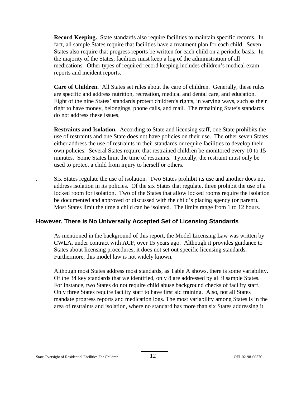**Record Keeping.** State standards also require facilities to maintain specific records. In fact, all sample States require that facilities have a treatment plan for each child. Seven States also require that progress reports be written for each child on a periodic basis. In the majority of the States, facilities must keep a log of the administration of all medications. Other types of required record keeping includes children's medical exam reports and incident reports.

**Care of Children.** All States set rules about the care of children. Generally, these rules are specific and address nutrition, recreation, medical and dental care, and education. Eight of the nine States' standards protect children's rights, in varying ways, such as their right to have money, belongings, phone calls, and mail. The remaining State's standards do not address these issues.

**Restraints and Isolation.** According to State and licensing staff, one State prohibits the use of restraints and one State does not have policies on their use. The other seven States either address the use of restraints in their standards or require facilities to develop their own policies. Several States require that restrained children be monitored every 10 to 15 minutes. Some States limit the time of restraints. Typically, the restraint must only be used to protect a child from injury to herself or others.

. Six States regulate the use of isolation. Two States prohibit its use and another does not address isolation in its policies. Of the six States that regulate, three prohibit the use of a locked room for isolation. Two of the States that allow locked rooms require the isolation be documented and approved or discussed with the child's placing agency (or parent). Most States limit the time a child can be isolated. The limits range from 1 to 12 hours.

#### **However, There is No Universally Accepted Set of Licensing Standards**

As mentioned in the background of this report, the Model Licensing Law was written by CWLA, under contract with ACF, over 15 years ago. Although it provides guidance to States about licensing procedures, it does not set out specific licensing standards. Furthermore, this model law is not widely known.

Although most States address most standards, as Table A shows, there is some variability. Of the 34 key standards that we identified, only 8 are addressed by all 9 sample States. For instance, two States do not require child abuse background checks of facility staff. Only three States require facility staff to have first aid training. Also, not all States mandate progress reports and medication logs. The most variability among States is in the area of restraints and isolation, where no standard has more than six States addressing it.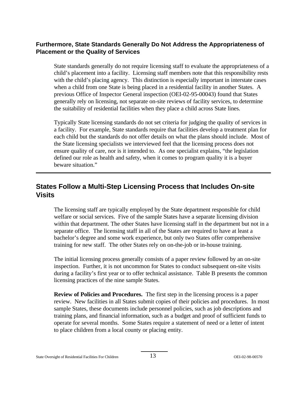#### **Furthermore, State Standards Generally Do Not Address the Appropriateness of Placement or the Quality of Services**

State standards generally do not require licensing staff to evaluate the appropriateness of a child's placement into a facility. Licensing staff members note that this responsibility rests with the child's placing agency. This distinction is especially important in interstate cases when a child from one State is being placed in a residential facility in another States. A previous Office of Inspector General inspection (OEI-02-95-00043) found that States generally rely on licensing, not separate on-site reviews of facility services, to determine the suitability of residential facilities when they place a child across State lines.

Typically State licensing standards do not set criteria for judging the quality of services in a facility. For example, State standards require that facilities develop a treatment plan for each child but the standards do not offer details on what the plans should include. Most of the State licensing specialists we interviewed feel that the licensing process does not ensure quality of care, nor is it intended to. As one specialist explains, "the legislation defined our role as health and safety, when it comes to program quality it is a buyer beware situation."

### **States Follow a Multi-Step Licensing Process that Includes On-site Visits**

The licensing staff are typically employed by the State department responsible for child welfare or social services. Five of the sample States have a separate licensing division within that department. The other States have licensing staff in the department but not in a separate office. The licensing staff in all of the States are required to have at least a bachelor's degree and some work experience, but only two States offer comprehensive training for new staff. The other States rely on on-the-job or in-house training.

The initial licensing process generally consists of a paper review followed by an on-site inspection. Further, it is not uncommon for States to conduct subsequent on-site visits during a facility's first year or to offer technical assistance. Table B presents the common licensing practices of the nine sample States.

**Review of Policies and Procedures.** The first step in the licensing process is a paper review. New facilities in all States submit copies of their policies and procedures. In most sample States, these documents include personnel policies, such as job descriptions and training plans, and financial information, such as a budget and proof of sufficient funds to operate for several months. Some States require a statement of need or a letter of intent to place children from a local county or placing entity.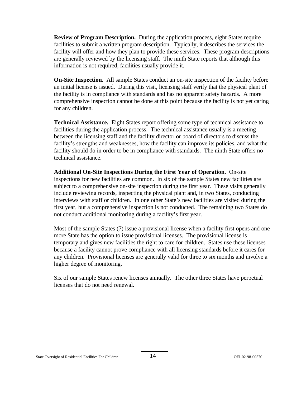**Review of Program Description.** During the application process, eight States require facilities to submit a written program description. Typically, it describes the services the facility will offer and how they plan to provide these services. These program descriptions are generally reviewed by the licensing staff. The ninth State reports that although this information is not required, facilities usually provide it.

**On-Site Inspection**. All sample States conduct an on-site inspection of the facility before an initial license is issued. During this visit, licensing staff verify that the physical plant of the facility is in compliance with standards and has no apparent safety hazards. A more comprehensive inspection cannot be done at this point because the facility is not yet caring for any children.

**Technical Assistance.** Eight States report offering some type of technical assistance to facilities during the application process. The technical assistance usually is a meeting between the licensing staff and the facility director or board of directors to discuss the facility's strengths and weaknesses, how the facility can improve its policies, and what the facility should do in order to be in compliance with standards. The ninth State offers no technical assistance.

**Additional On-Site Inspections During the First Year of Operation.** On-site inspections for new facilities are common. In six of the sample States new facilities are subject to a comprehensive on-site inspection during the first year. These visits generally include reviewing records, inspecting the physical plant and, in two States, conducting interviews with staff or children. In one other State's new facilities are visited during the first year, but a comprehensive inspection is not conducted. The remaining two States do not conduct additional monitoring during a facility's first year.

Most of the sample States (7) issue a provisional license when a facility first opens and one more State has the option to issue provisional licenses. The provisional license is temporary and gives new facilities the right to care for children. States use these licenses because a facility cannot prove compliance with all licensing standards before it cares for any children. Provisional licenses are generally valid for three to six months and involve a higher degree of monitoring.

Six of our sample States renew licenses annually. The other three States have perpetual licenses that do not need renewal.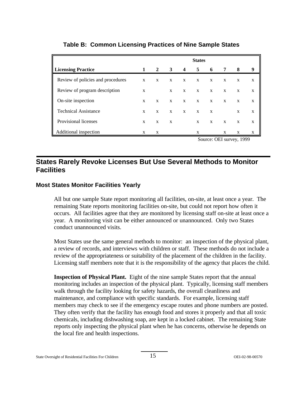|                                   |   |              |              |                         | <b>States</b> |              |              |   |   |
|-----------------------------------|---|--------------|--------------|-------------------------|---------------|--------------|--------------|---|---|
| <b>Licensing Practice</b>         | 1 | 2            | 3            | $\overline{\mathbf{4}}$ | 5             | 6            | 7            | 8 | 9 |
| Review of policies and procedures | X | X            | $\mathbf{x}$ | X                       | X             | X            | X            | X | X |
| Review of program description     | X |              | X            | X                       | $\mathbf{x}$  | X            | $\mathbf{x}$ | X | X |
| ║<br>On-site inspection           | X | $\mathbf{x}$ | $\mathbf{x}$ | $\mathbf{x}$            | $\mathbf{x}$  | $\mathbf{x}$ | $\mathbf{x}$ | X | X |
| <b>Technical Assistance</b>       | X | X            | X            | X                       | X             | X            |              | X | X |
| Provisional licenses              | X | X            | X            |                         | X             | X            | X            | X | X |
| Additional inspection             | X | X            |              |                         | X             |              | X            | X | X |

#### **Table B: Common Licensing Practices of Nine Sample States**

Source: OEI survey, 1999

### **States Rarely Revoke Licenses But Use Several Methods to Monitor Facilities**

#### **Most States Monitor Facilities Yearly**

All but one sample State report monitoring all facilities, on-site, at least once a year. The remaining State reports monitoring facilities on-site, but could not report how often it occurs. All facilities agree that they are monitored by licensing staff on-site at least once a year. A monitoring visit can be either announced or unannounced. Only two States conduct unannounced visits.

Most States use the same general methods to monitor: an inspection of the physical plant, a review of records, and interviews with children or staff. These methods do not include a review of the appropriateness or suitability of the placement of the children in the facility. Licensing staff members note that it is the responsibility of the agency that places the child.

**Inspection of Physical Plant.** Eight of the nine sample States report that the annual monitoring includes an inspection of the physical plant. Typically, licensing staff members walk through the facility looking for safety hazards, the overall cleanliness and maintenance, and compliance with specific standards. For example, licensing staff members may check to see if the emergency escape routes and phone numbers are posted. They often verify that the facility has enough food and stores it properly and that all toxic chemicals, including dishwashing soap, are kept in a locked cabinet. The remaining State reports only inspecting the physical plant when he has concerns, otherwise he depends on the local fire and health inspections.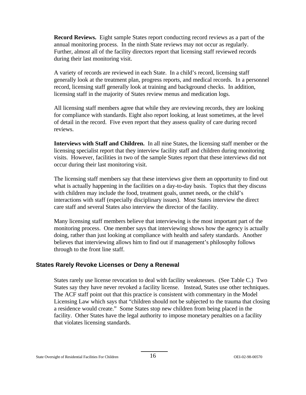**Record Reviews.** Eight sample States report conducting record reviews as a part of the annual monitoring process. In the ninth State reviews may not occur as regularly. Further, almost all of the facility directors report that licensing staff reviewed records during their last monitoring visit.

A variety of records are reviewed in each State. In a child's record, licensing staff generally look at the treatment plan, progress reports, and medical records. In a personnel record, licensing staff generally look at training and background checks. In addition, licensing staff in the majority of States review menus and medication logs.

All licensing staff members agree that while they are reviewing records, they are looking for compliance with standards. Eight also report looking, at least sometimes, at the level of detail in the record. Five even report that they assess quality of care during record reviews.

**Interviews with Staff and Children.** In all nine States, the licensing staff member or the licensing specialist report that they interview facility staff and children during monitoring visits. However, facilities in two of the sample States report that these interviews did not occur during their last monitoring visit.

The licensing staff members say that these interviews give them an opportunity to find out what is actually happening in the facilities on a day-to-day basis. Topics that they discuss with children may include the food, treatment goals, unmet needs, or the child's interactions with staff (especially disciplinary issues). Most States interview the direct care staff and several States also interview the director of the facility.

Many licensing staff members believe that interviewing is the most important part of the monitoring process. One member says that interviewing shows how the agency is actually doing, rather than just looking at compliance with health and safety standards. Another believes that interviewing allows him to find out if management's philosophy follows through to the front line staff.

#### **States Rarely Revoke Licenses or Deny a Renewal**

States rarely use license revocation to deal with facility weaknesses. (See Table C.) Two States say they have never revoked a facility license. Instead, States use other techniques. The ACF staff point out that this practice is consistent with commentary in the Model Licensing Law which says that "children should not be subjected to the trauma that closing a residence would create." Some States stop new children from being placed in the facility. Other States have the legal authority to impose monetary penalties on a facility that violates licensing standards.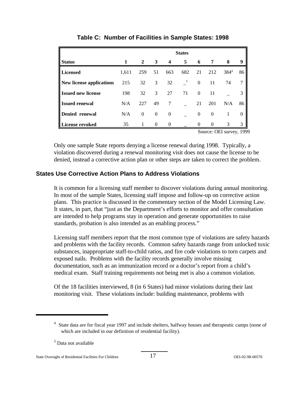|                           | <b>States</b> |          |          |                  |     |              |              |                                                                   |          |
|---------------------------|---------------|----------|----------|------------------|-----|--------------|--------------|-------------------------------------------------------------------|----------|
| <b>Status</b>             | 1             | 2        | 3        | $\boldsymbol{4}$ | 5   | 6            | 7            | 8                                                                 | 9        |
| <b>Licensed</b>           | 1,611         | 259      | 51       | 663              | 682 | 21           | 212          | $384^{4}$                                                         | 86       |
| New license applications  | 215           | 32       | 3        | 32               | 5   | $\mathbf{0}$ | 11           | 74                                                                | 7        |
| <b>Issued new license</b> | 198           | 32       | 3        | 27               | 71  | $\Omega$     | 11           |                                                                   | 3        |
| <b>Issued renewal</b>     | N/A           | 227      | 49       | 7                |     | 21           | 201          | N/A                                                               | 86       |
| Denied renewal            | N/A           | $\theta$ | $\theta$ | $\theta$         |     | $\Omega$     | $\mathbf{0}$ |                                                                   | 0        |
| <b>License revoked</b>    | 35            |          | $\Omega$ | $\Omega$         |     |              | $\theta$     | 3<br>$R_{\text{average}}$ $\Omega_{\text{E}}$ $\Omega_{\text{E}}$ | 3<br>100 |

**Table C: Number of Facilities in Sample States: 1998** 

Source: OEI survey, 1999

Only one sample State reports denying a license renewal during 1998. Typically, a violation discovered during a renewal monitoring visit does not cause the license to be denied, instead a corrective action plan or other steps are taken to correct the problem.

#### **States Use Corrective Action Plans to Address Violations**

It is common for a licensing staff member to discover violations during annual monitoring. In most of the sample States, licensing staff impose and follow-up on corrective action plans. This practice is discussed in the commentary section of the Model Licensing Law. It states, in part, that "just as the Department's efforts to monitor and offer consultation are intended to help programs stay in operation and generate opportunities to raise standards, probation is also intended as an enabling process."

Licensing staff members report that the most common type of violations are safety hazards and problems with the facility records. Common safety hazards range from unlocked toxic substances, inappropriate staff-to-child ratios, and fire code violations to torn carpets and exposed nails. Problems with the facility records generally involve missing documentation, such as an immunization record or a doctor's report from a child's medical exam. Staff training requirements not being met is also a common violation.

Of the 18 facilities interviewed, 8 (in 6 States) had minor violations during their last monitoring visit. These violations include: building maintenance, problems with

<sup>&</sup>lt;sup>4</sup> State data are for fiscal year 1997 and include shelters, halfway houses and therapeutic camps (none of which are included in our definition of residential facility).

<sup>5</sup> Data not available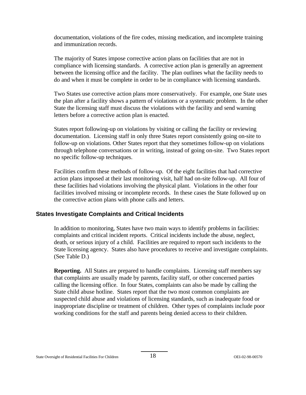documentation, violations of the fire codes, missing medication, and incomplete training and immunization records.

The majority of States impose corrective action plans on facilities that are not in compliance with licensing standards. A corrective action plan is generally an agreement between the licensing office and the facility. The plan outlines what the facility needs to do and when it must be complete in order to be in compliance with licensing standards.

Two States use corrective action plans more conservatively. For example, one State uses the plan after a facility shows a pattern of violations or a systematic problem. In the other State the licensing staff must discuss the violations with the facility and send warning letters before a corrective action plan is enacted.

States report following-up on violations by visiting or calling the facility or reviewing documentation. Licensing staff in only three States report consistently going on-site to follow-up on violations. Other States report that they sometimes follow-up on violations through telephone conversations or in writing, instead of going on-site. Two States report no specific follow-up techniques.

Facilities confirm these methods of follow-up. Of the eight facilities that had corrective action plans imposed at their last monitoring visit, half had on-site follow-up. All four of these facilities had violations involving the physical plant. Violations in the other four facilities involved missing or incomplete records. In these cases the State followed up on the corrective action plans with phone calls and letters.

#### **States Investigate Complaints and Critical Incidents**

In addition to monitoring, States have two main ways to identify problems in facilities: complaints and critical incident reports. Critical incidents include the abuse, neglect, death, or serious injury of a child. Facilities are required to report such incidents to the State licensing agency. States also have procedures to receive and investigate complaints. (See Table D.)

**Reporting.** All States are prepared to handle complaints. Licensing staff members say that complaints are usually made by parents, facility staff, or other concerned parties calling the licensing office. In four States, complaints can also be made by calling the State child abuse hotline. States report that the two most common complaints are suspected child abuse and violations of licensing standards, such as inadequate food or inappropriate discipline or treatment of children. Other types of complaints include poor working conditions for the staff and parents being denied access to their children.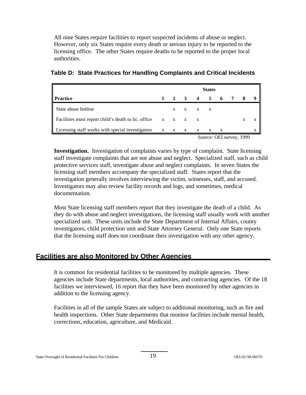All nine States require facilities to report suspected incidents of abuse or neglect. However, only six States require every death or serious injury to be reported to the licensing office. The other States require deaths to be reported to the proper local authorities.

|                                                                      |              |              |                     |              | <b>States</b>                                                          |              |   |   |
|----------------------------------------------------------------------|--------------|--------------|---------------------|--------------|------------------------------------------------------------------------|--------------|---|---|
| <b>Practice</b>                                                      |              |              | $2 \quad 3 \quad 4$ |              | 5                                                                      |              |   |   |
| State abuse hotline                                                  |              | X            |                     | X X X        |                                                                        |              |   |   |
| Facilities must report child's death to lic. office $x \times x$ x x |              |              |                     |              |                                                                        |              | X |   |
| Licensing staff works with special investigators                     | $\mathbf{X}$ | $\mathbf{X}$ | $\mathbf{X}$        | $\mathbf{X}$ | $\mathbf{X}$<br>$\Omega_{\text{OMOM}}$ OEI $\Omega_{\text{OMOM}}$ 1000 | $\mathbf{X}$ |   | X |

|  |  | Table D: State Practices for Handling Complaints and Critical Incidents |  |  |
|--|--|-------------------------------------------------------------------------|--|--|
|  |  |                                                                         |  |  |

Source: OEI survey, 1999

**Investigation.** Investigation of complaints varies by type of complaint. State licensing staff investigate complaints that are not abuse and neglect. Specialized staff, such as child protective services staff, investigate abuse and neglect complaints. In seven States the licensing staff members accompany the specialized staff. States report that the investigation generally involves interviewing the victim, witnesses, staff, and accused. Investigators may also review facility records and logs, and sometimes, medical documentation.

Most State licensing staff members report that they investigate the death of a child. As they do with abuse and neglect investigations, the licensing staff usually work with another specialized unit. These units include the State Department of Internal Affairs, county investigators, child protection unit and State Attorney General. Only one State reports that the licensing staff does not coordinate their investigation with any other agency.

### **Facilities are also Monitored by Other Agencies**

It is common for residential facilities to be monitored by multiple agencies. These agencies include State departments, local authorities, and contracting agencies. Of the 18 facilities we interviewed, 16 report that they have been monitored by other agencies in addition to the licensing agency.

Facilities in all of the sample States are subject to additional monitoring, such as fire and health inspections. Other State departments that monitor facilities include mental health, corrections, education, agriculture, and Medicaid.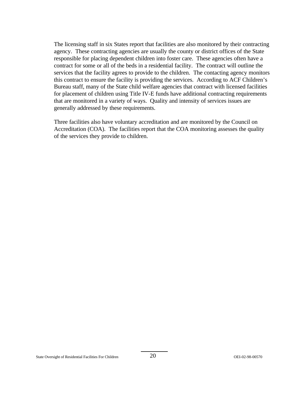The licensing staff in six States report that facilities are also monitored by their contracting agency. These contracting agencies are usually the county or district offices of the State responsible for placing dependent children into foster care. These agencies often have a contract for some or all of the beds in a residential facility. The contract will outline the services that the facility agrees to provide to the children. The contacting agency monitors this contract to ensure the facility is providing the services. According to ACF Children's Bureau staff, many of the State child welfare agencies that contract with licensed facilities for placement of children using Title IV-E funds have additional contracting requirements that are monitored in a variety of ways. Quality and intensity of services issues are generally addressed by these requirements.

Three facilities also have voluntary accreditation and are monitored by the Council on Accreditation (COA). The facilities report that the COA monitoring assesses the quality of the services they provide to children.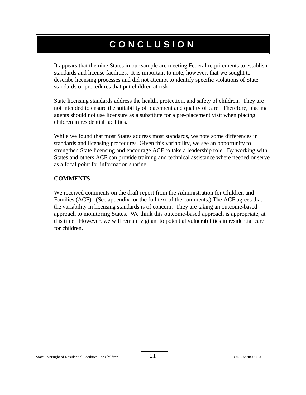# **CONCLUSION**

It appears that the nine States in our sample are meeting Federal requirements to establish standards and license facilities. It is important to note, however, that we sought to describe licensing processes and did not attempt to identify specific violations of State standards or procedures that put children at risk.

State licensing standards address the health, protection, and safety of children. They are not intended to ensure the suitability of placement and quality of care. Therefore, placing agents should not use licensure as a substitute for a pre-placement visit when placing children in residential facilities.

While we found that most States address most standards, we note some differences in standards and licensing procedures. Given this variability, we see an opportunity to strengthen State licensing and encourage ACF to take a leadership role. By working with States and others ACF can provide training and technical assistance where needed or serve as a focal point for information sharing.

#### **COMMENTS**

We received comments on the draft report from the Administration for Children and Families (ACF). (See appendix for the full text of the comments.) The ACF agrees that the variability in licensing standards is of concern. They are taking an outcome-based approach to monitoring States. We think this outcome-based approach is appropriate, at this time. However, we will remain vigilant to potential vulnerabilities in residential care for children.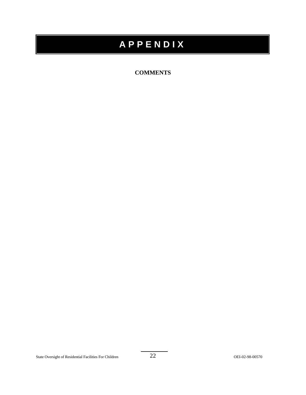# **APPENDIX**

#### **COMMENTS**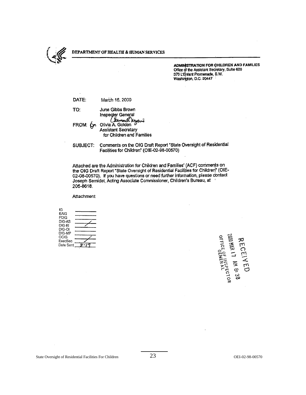

#### DEPARTMENT OF HEALTH & HUMAN SERVICES

ADMINISTRATION FOR CHILDREN AND FAMILIES Office of the Assistant Secretary, Suite 600 370 L'Enfant Promenade, S.W. Washington, D.C. 20447

| DATE: | March 16, 2000                                                                                                      |
|-------|---------------------------------------------------------------------------------------------------------------------|
| TO:   | June Gibbs Brown                                                                                                    |
|       | Inspector General<br>Cament Wyave<br>FROM: Con Olivia A. Golden<br>Assistant Secretary<br>for Children and Families |

SUBJECT: Comments on the OIG Draft Report "State Oversight of Residential Facilities for Children' (OIE-02-98-00570)

Attached are the Administration for Children and Families' (ACF) comments on the OIG Draft Report "State Oversight of Residential Facilities for Children" (OIE-02-08-00570). If you have questions or need further information, please contact Joseph Semidei, Acting Associate Commissioner, Children's Bureau, at 205-8618.

Attachment

| łG        |  |
|-----------|--|
| EAIG      |  |
| PDIG      |  |
| DIG-AS    |  |
| DIG-EI    |  |
| DIG-OI    |  |
| DIG-MP    |  |
| OCIG      |  |
| ExecSec   |  |
| Date Sect |  |

**MUNHAY '** 'NSPECTOR<br>OFFICE OF INSPECTOR<br>OFFICE CENERAL PRL -<br>100 MMR 1 1 MM 8:38<br>200 MMR 1 1 MM 8:58 RECEI  $\widetilde{d}$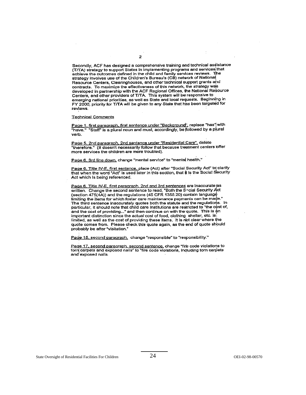Secondly, ACF has designed a comprehensive training and technical assistance (T/TA) strategy to support States in implementing programs and services that achieve the outcomes defined in the child and family services reviews. The strategy involves use of the Children's Bureau's (CB) network of National Resource Centers, Clearinghouses, and other technical support grants and contracts. To maximize the effectiveness of this network, the strategy was developed in partnership with the ACF Regional Offices, the National Resource Centers, and other providers of T/TA. This system will be responsive to emerging national prorities, as well as State and local requests. Beginning in FY 2000, priority for T/TA will be given to any State that has been targeted for reviews.

#### **Technical Comments**

Page 1, first paragraph, first sentence under "Background", replace "has" with "have." "Staff" is a plural noun and must, accordingly, be followed by a plural verb.

Page 5, 2nd paragraph, 2nd sentence under "Residential Care", delete "therefore." (It doesn't necessarily follow that because treatment centers offer more services the children are more troubled).

Page 6. 3rd line down, change "mental service" to "mental health."

Page 6, Title IV-E, first sentence, place (Act) after "Social Security Act" to clarify that when the word "Act" is used later in this section, that it is the Social Security Act which is being referenced.

Page 6, Title IV-E, first paragraph, 2nd and 3rd sentences are inaccurate as written. Change the second sentence to read, "Both the Social Security Act (section 475(4A)) and the regulations (45 CFR 1355.20) contain language limiting the items for which foster care maintenance payments can be made." The third sentence inaccurately quotes both the statute and the regulations. In particular, it should note that child care institutions are restricted to "the cost of, and the cost of providing..." and then continue on with the quote. This is an important distinction since the actual cost of food, clothing shelter, etc. is limited, as well as the cost of providing these items. It is not clear where the quote comes from. Please check this quote again, as the end of quote should probably be after "visitation."

Pade 15, second paragraph, change "responsible" to "responsibility."

Page 17, second paragraph, second sentence, change "fire code violations to torn carpets and exposed nails" to "fire code violations, including torn carpets and exposed nails.

 $\overline{z}$